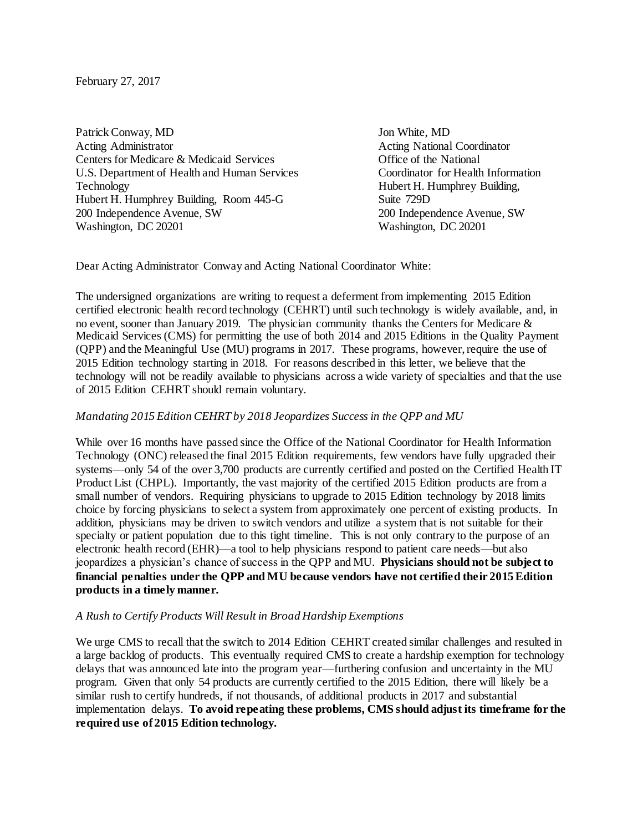February 27, 2017

Patrick Conway, MD Jon White, MD Acting Administrator **Acting Administrator** Acting National Coordinator Centers for Medicare & Medicaid Services Office of the National U.S. Department of Health and Human Services Coordinator for Health Information Technology **Hubert H. Humphrey Building,** Hubert H. Humphrey Building, Room 445-G Suite 729D 200 Independence Avenue, SW 200 Independence Avenue, SW Washington, DC 20201 Washington, DC 20201

Dear Acting Administrator Conway and Acting National Coordinator White:

The undersigned organizations are writing to request a deferment from implementing 2015 Edition certified electronic health record technology (CEHRT) until such technology is widely available, and, in no event, sooner than January 2019. The physician community thanks the Centers for Medicare & Medicaid Services (CMS) for permitting the use of both 2014 and 2015 Editions in the Quality Payment (QPP) and the Meaningful Use (MU) programs in 2017. These programs, however, require the use of 2015 Edition technology starting in 2018. For reasons described in this letter, we believe that the technology will not be readily available to physicians across a wide variety of specialties and that the use of 2015 Edition CEHRT should remain voluntary.

## *Mandating 2015 Edition CEHRT by 2018 Jeopardizes Success in the QPP and MU*

While over 16 months have passed since the Office of the National Coordinator for Health Information Technology (ONC) released the final 2015 Edition requirements, few vendors have fully upgraded their systems—only 54 of the over 3,700 products are currently certified and posted on the Certified Health IT Product List (CHPL). Importantly, the vast majority of the certified 2015 Edition products are from a small number of vendors. Requiring physicians to upgrade to 2015 Edition technology by 2018 limits choice by forcing physicians to select a system from approximately one percent of existing products. In addition, physicians may be driven to switch vendors and utilize a system that is not suitable for their specialty or patient population due to this tight timeline. This is not only contrary to the purpose of an electronic health record (EHR)—a tool to help physicians respond to patient care needs—but also jeopardizes a physician's chance of success in the QPP and MU. **Physicians should not be subject to financial penalties under the QPP and MU because vendors have not certified their 2015 Edition products in a timely manner.**

## *A Rush to Certify Products Will Result in Broad Hardship Exemptions*

We urge CMS to recall that the switch to 2014 Edition CEHRT created similar challenges and resulted in a large backlog of products. This eventually required CMS to create a hardship exemption for technology delays that was announced late into the program year—furthering confusion and uncertainty in the MU program. Given that only 54 products are currently certified to the 2015 Edition, there will likely be a similar rush to certify hundreds, if not thousands, of additional products in 2017 and substantial implementation delays. **To avoid repeating these problems, CMS should adjust its timeframe for the required use of 2015 Edition technology.**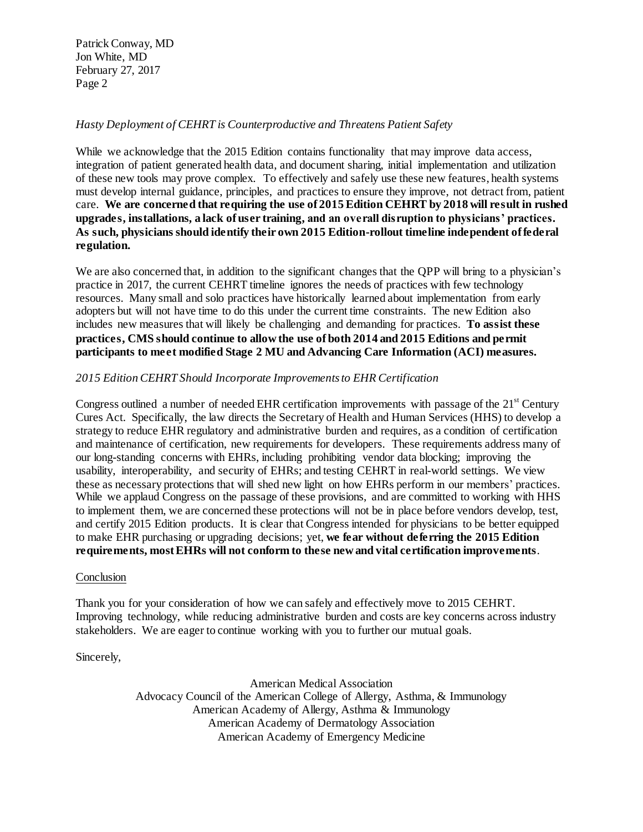# *Hasty Deployment of CEHRT is Counterproductive and Threatens Patient Safety*

While we acknowledge that the 2015 Edition contains functionality that may improve data access, integration of patient generated health data, and document sharing, initial implementation and utilization of these new tools may prove complex. To effectively and safely use these new features, health systems must develop internal guidance, principles, and practices to ensure they improve, not detract from, patient care. **We are concerned that requiring the use of 2015 Edition CEHRT by 2018 will result in rushed upgrades, installations, a lack of user training, and an overall disruption to physicians' practices. As such, physicians should identify their own 2015 Edition-rollout timeline independent of federal regulation.**

We are also concerned that, in addition to the significant changes that the OPP will bring to a physician's practice in 2017, the current CEHRT timeline ignores the needs of practices with few technology resources. Many small and solo practices have historically learned about implementation from early adopters but will not have time to do this under the current time constraints. The new Edition also includes new measures that will likely be challenging and demanding for practices. **To assist these practices, CMS should continue to allow the use of both 2014 and 2015 Editions and permit participants to meet modified Stage 2 MU and Advancing Care Information (ACI) measures.** 

## *2015 Edition CEHRT Should Incorporate Improvements to EHR Certification*

Congress outlined a number of needed EHR certification improvements with passage of the 21<sup>st</sup> Century Cures Act. Specifically, the law directs the Secretary of Health and Human Services (HHS) to develop a strategy to reduce EHR regulatory and administrative burden and requires, as a condition of certification and maintenance of certification, new requirements for developers. These requirements address many of our long-standing concerns with EHRs, including prohibiting vendor data blocking; improving the usability, interoperability, and security of EHRs; and testing CEHRT in real-world settings. We view these as necessary protections that will shed new light on how EHRs perform in our members' practices. While we applaud Congress on the passage of these provisions, and are committed to working with HHS to implement them, we are concerned these protections will not be in place before vendors develop, test, and certify 2015 Edition products. It is clear that Congress intended for physicians to be better equipped to make EHR purchasing or upgrading decisions; yet, **we fear without deferring the 2015 Edition requirements, most EHRs will not conform to these new and vital certification improvements**.

#### **Conclusion**

Thank you for your consideration of how we can safely and effectively move to 2015 CEHRT. Improving technology, while reducing administrative burden and costs are key concerns across industry stakeholders. We are eager to continue working with you to further our mutual goals.

Sincerely,

American Medical Association Advocacy Council of th[e American College of Allergy, Asthma, & Immunology](https://urldefense.proofpoint.com/v2/url?u=http-3A__www.acaai.org_&d=DgMFaQ&c=iqeSLYkBTKTEV8nJYtdW_A&r=3BI3Y3AR655oMASRkgAI9ot8VzJZvEq5ZH_o21S1l0M&m=XZ57eRLAKXs7CNtunWQnOBbNg87_ncgDCfvTCjxmvxc&s=1NOWW8p4USwXyvCy9z4MM65qLwTK966MW2mepJzufcs&e=) American Academy of Allergy, Asthma & Immunology American Academy of Dermatology Association American Academy of Emergency Medicine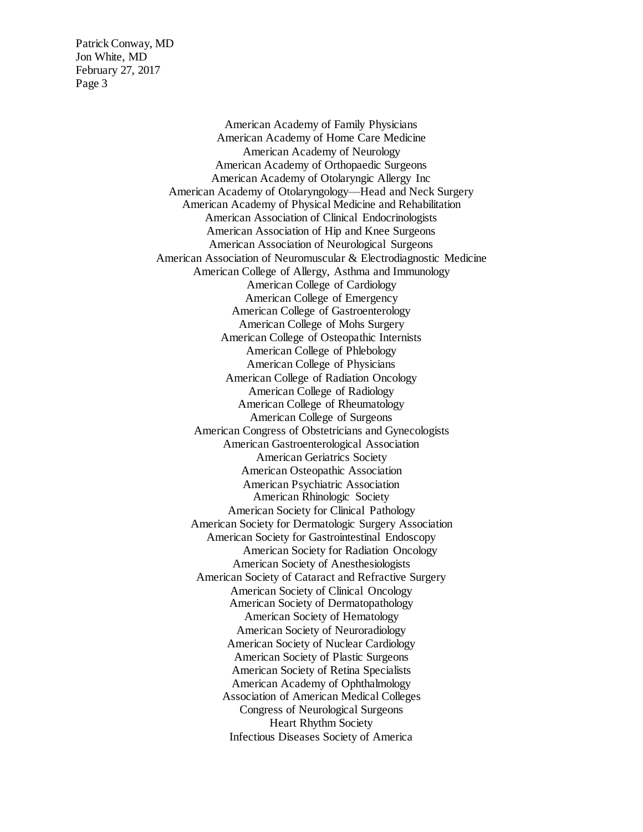> American Academy of Family Physicians American Academy of Home Care Medicine American Academy of Neurology American Academy of Orthopaedic Surgeons American Academy of Otolaryngic Allergy Inc American Academy of Otolaryngology—Head and Neck Surgery American Academy of Physical Medicine and Rehabilitation American Association of Clinical Endocrinologists American Association of Hip and Knee Surgeons American Association of Neurological Surgeons American Association of Neuromuscular & Electrodiagnostic Medicine American College of Allergy, Asthma and Immunology American College of Cardiology American College of Emergency American College of Gastroenterology American College of Mohs Surgery American College of Osteopathic Internists American College of Phlebology American College of Physicians American College of Radiation Oncology American College of Radiology American College of Rheumatology American College of Surgeons American Congress of Obstetricians and Gynecologists American Gastroenterological Association American Geriatrics Society American Osteopathic Association American Psychiatric Association American Rhinologic Society American Society for Clinical Pathology American Society for Dermatologic Surgery Association American Society for Gastrointestinal Endoscopy American Society for Radiation Oncology American Society of Anesthesiologists American Society of Cataract and Refractive Surgery American Society of Clinical Oncology American Society of Dermatopathology American Society of Hematology American Society of Neuroradiology American Society of Nuclear Cardiology American Society of Plastic Surgeons American Society of Retina Specialists American Academy of Ophthalmology Association of American Medical Colleges Congress of Neurological Surgeons Heart Rhythm Society Infectious Diseases Society of America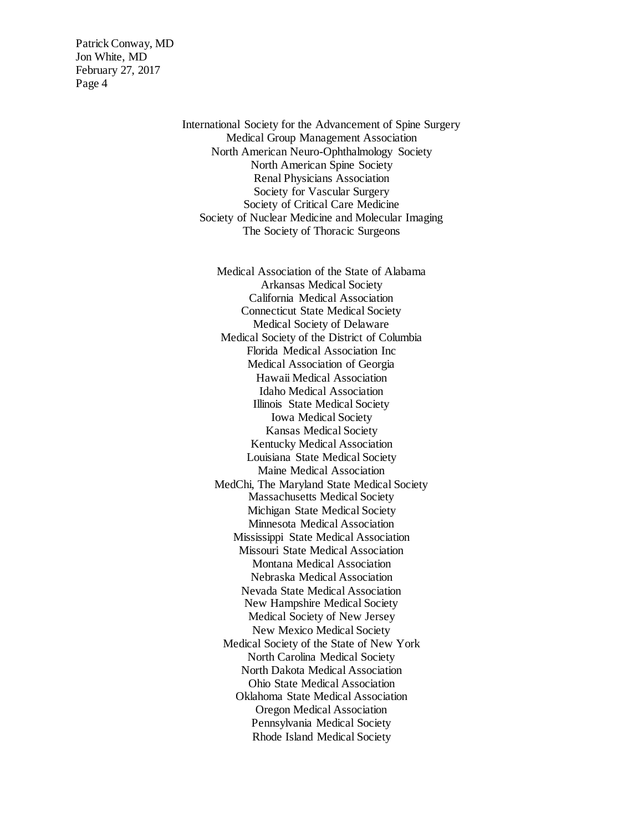> International Society for the Advancement of Spine Surgery Medical Group Management Association North American Neuro-Ophthalmology Society North American Spine Society Renal Physicians Association Society for Vascular Surgery Society of Critical Care Medicine Society of Nuclear Medicine and Molecular Imaging The Society of Thoracic Surgeons

> > Medical Association of the State of Alabama Arkansas Medical Society California Medical Association Connecticut State Medical Society Medical Society of Delaware Medical Society of the District of Columbia Florida Medical Association Inc Medical Association of Georgia Hawaii Medical Association Idaho Medical Association Illinois State Medical Society Iowa Medical Society Kansas Medical Society Kentucky Medical Association Louisiana State Medical Society Maine Medical Association MedChi, The Maryland State Medical Society Massachusetts Medical Society Michigan State Medical Society Minnesota Medical Association Mississippi State Medical Association Missouri State Medical Association Montana Medical Association Nebraska Medical Association Nevada State Medical Association New Hampshire Medical Society Medical Society of New Jersey New Mexico Medical Society Medical Society of the State of New York North Carolina Medical Society North Dakota Medical Association Ohio State Medical Association Oklahoma State Medical Association Oregon Medical Association Pennsylvania Medical Society Rhode Island Medical Society